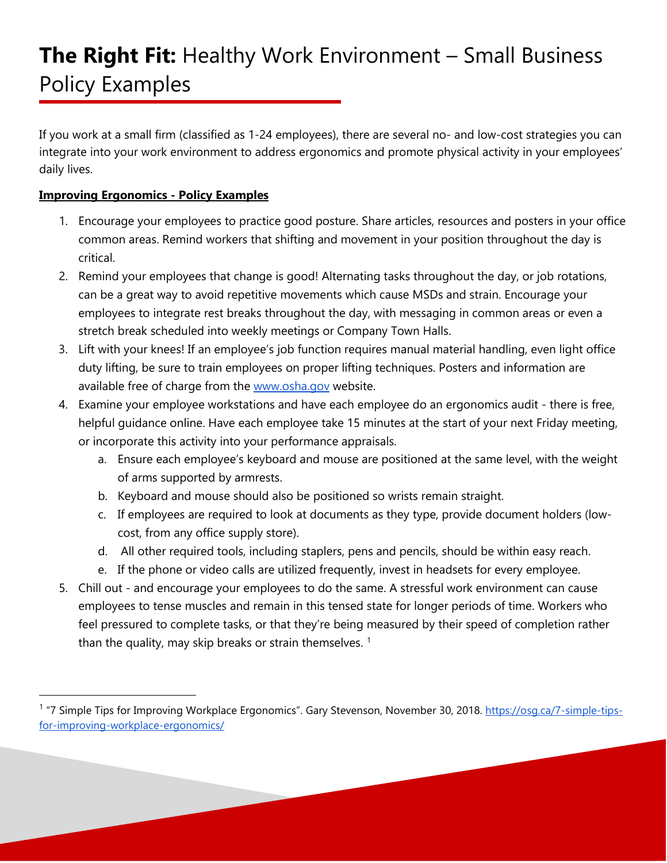If you work at a small firm (classified as 1-24 employees), there are several no- and low-cost strategies you can integrate into your work environment to address ergonomics and promote physical activity in your employees' daily lives.

### **Improving Ergonomics - Policy Examples**

- 1. Encourage your employees to practice good posture. Share articles, resources and posters in your office common areas. Remind workers that shifting and movement in your position throughout the day is critical.
- 2. Remind your employees that change is good! Alternating tasks throughout the day, or job rotations, can be a great way to avoid repetitive movements which cause MSDs and strain. Encourage your employees to integrate rest breaks throughout the day, with messaging in common areas or even a stretch break scheduled into weekly meetings or Company Town Halls.
- 3. Lift with your knees! If an employee's job function requires manual material handling, even light office duty lifting, be sure to train employees on proper lifting techniques. Posters and information are available free of charge from the [www.osha.gov](http://www.osha.gov/) website.
- 4. Examine your employee workstations and have each employee do an ergonomics audit there is free, helpful guidance online. Have each employee take 15 minutes at the start of your next Friday meeting, or incorporate this activity into your performance appraisals.
	- a. Ensure each employee's keyboard and mouse are positioned at the same level, with the weight of arms supported by armrests.
	- b. Keyboard and mouse should also be positioned so wrists remain straight.
	- c. If employees are required to look at documents as they type, provide document holders (lowcost, from any office supply store).
	- d. All other required tools, including staplers, pens and pencils, should be within easy reach.
	- e. If the phone or video calls are utilized frequently, invest in headsets for every employee.
- 5. Chill out and encourage your employees to do the same. A stressful work environment can cause employees to tense muscles and remain in this tensed state for longer periods of time. Workers who feel pressured to complete tasks, or that they're being measured by their speed of completion rather than the quality, may skip breaks or strain themselves.  $1$

<span id="page-0-0"></span><sup>1</sup> "7 Simple Tips for Improving Workplace Ergonomics". Gary Stevenson, November 30, 2018. [https://osg.ca/7-simple-tips](https://osg.ca/7-simple-tips-for-improving-workplace-ergonomics/)[for-improving-workplace-ergonomics/](https://osg.ca/7-simple-tips-for-improving-workplace-ergonomics/)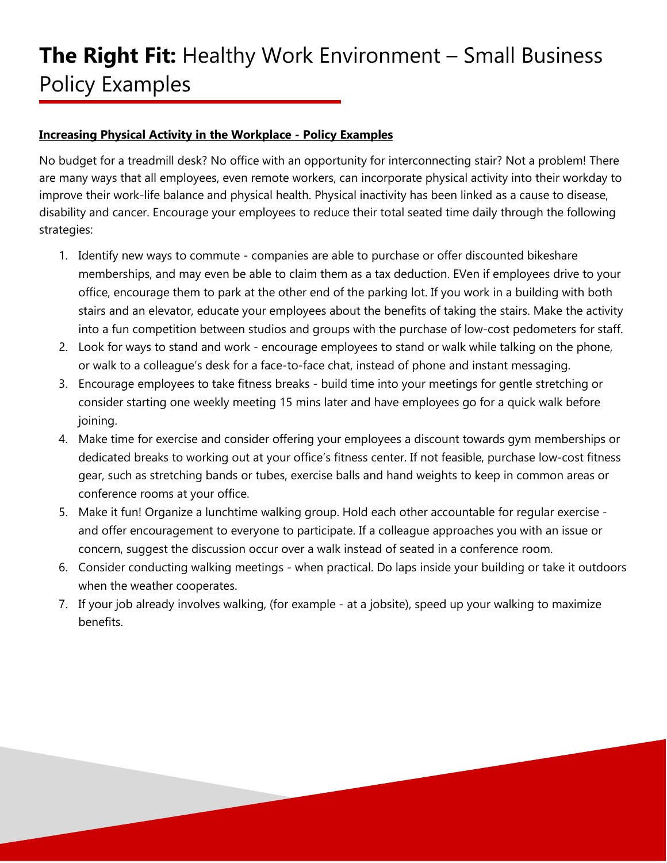#### **Increasing Physical Activity in the Workplace - Policy Examples**

No budget for a treadmill desk? No office with an opportunity for interconnecting stair? Not a problem! There are many ways that all employees, even remote workers, can incorporate physical activity into their workday to improve their work-life balance and physical health. Physical inactivity has been linked as a cause to disease, disability and cancer. Encourage your employees to reduce their total seated time daily through the following strategies:

- 1. Identify new ways to commute companies are able to purchase or offer discounted bikeshare memberships, and may even be able to claim them as a tax deduction. EVen if employees drive to your office, encourage them to park at the other end of the parking lot. If you work in a building with both stairs and an elevator, educate your employees about the benefits of taking the stairs. Make the activity into a fun competition between studios and groups with the purchase of low-cost pedometers for staff.
- 2. Look for ways to stand and work encourage employees to stand or walk while talking on the phone, or walk to a colleague's desk for a face-to-face chat, instead of phone and instant messaging.
- 3. Encourage employees to take fitness breaks build time into your meetings for gentle stretching or consider starting one weekly meeting 15 mins later and have employees go for a quick walk before joining.
- 4. Make time for exercise and consider offering your employees a discount towards gym memberships or dedicated breaks to working out at your office's fitness center. If not feasible, purchase low-cost fitness gear, such as stretching bands or tubes, exercise balls and hand weights to keep in common areas or conference rooms at your office.
- 5. Make it fun! Organize a lunchtime walking group. Hold each other accountable for regular exercise and offer encouragement to everyone to participate. If a colleague approaches you with an issue or concern, suggest the discussion occur over a walk instead of seated in a conference room.
- 6. Consider conducting walking meetings when practical. Do laps inside your building or take it outdoors when the weather cooperates.
- 7. If your job already involves walking, (for example at a jobsite), speed up your walking to maximize benefits.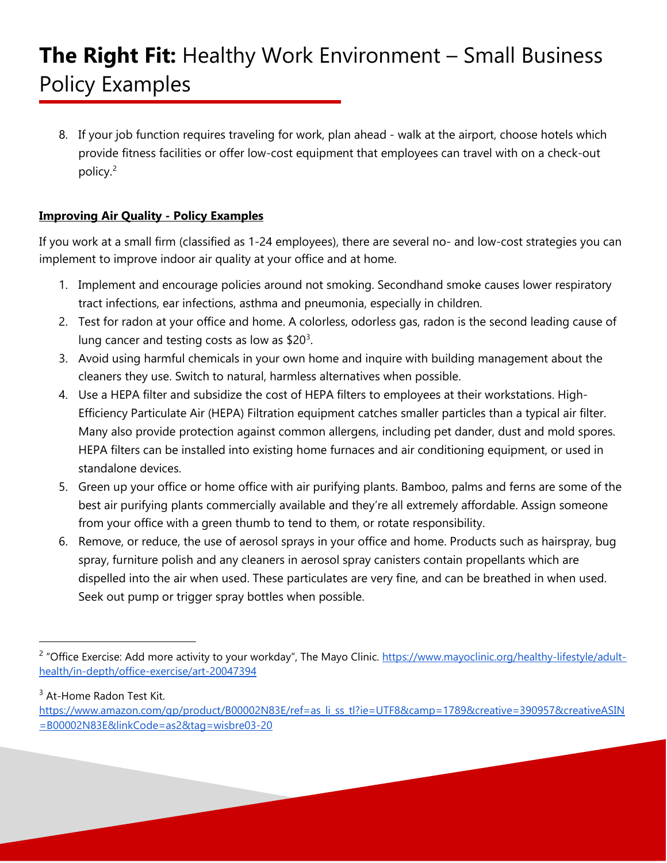8. If your job function requires traveling for work, plan ahead - walk at the airport, choose hotels which provide fitness facilities or offer low-cost equipment that employees can travel with on a check-out policy.[2](#page-2-0)

## **Improving Air Quality - Policy Examples**

If you work at a small firm (classified as 1-24 employees), there are several no- and low-cost strategies you can implement to improve indoor air quality at your office and at home.

- 1. Implement and encourage policies around not smoking. Secondhand smoke causes lower respiratory tract infections, ear infections, asthma and pneumonia, especially in children.
- 2. Test for radon at your office and home. A colorless, odorless gas, radon is the second leading cause of lung cancer and testing costs as low as  $$20<sup>3</sup>$  $$20<sup>3</sup>$  $$20<sup>3</sup>$ .
- 3. Avoid using harmful chemicals in your own home and inquire with building management about the cleaners they use. Switch to natural, harmless alternatives when possible.
- 4. Use a HEPA filter and subsidize the cost of HEPA filters to employees at their workstations. High-Efficiency Particulate Air (HEPA) Filtration equipment catches smaller particles than a typical air filter. Many also provide protection against common allergens, including pet dander, dust and mold spores. HEPA filters can be installed into existing home furnaces and air conditioning equipment, or used in standalone devices.
- 5. Green up your office or home office with air purifying plants. Bamboo, palms and ferns are some of the best air purifying plants commercially available and they're all extremely affordable. Assign someone from your office with a green thumb to tend to them, or rotate responsibility.
- 6. Remove, or reduce, the use of aerosol sprays in your office and home. Products such as hairspray, bug spray, furniture polish and any cleaners in aerosol spray canisters contain propellants which are dispelled into the air when used. These particulates are very fine, and can be breathed in when used. Seek out pump or trigger spray bottles when possible.

<span id="page-2-0"></span><sup>&</sup>lt;sup>2</sup> "Office Exercise: Add more activity to your workday", The Mayo Clinic. [https://www.mayoclinic.org/healthy-lifestyle/adult](https://www.mayoclinic.org/healthy-lifestyle/adult-health/in-depth/office-exercise/art-20047394)[health/in-depth/office-exercise/art-20047394](https://www.mayoclinic.org/healthy-lifestyle/adult-health/in-depth/office-exercise/art-20047394)

<span id="page-2-1"></span><sup>&</sup>lt;sup>3</sup> At-Home Radon Test Kit.

[https://www.amazon.com/gp/product/B00002N83E/ref=as\\_li\\_ss\\_tl?ie=UTF8&camp=1789&creative=390957&creativeASIN](https://www.amazon.com/gp/product/B00002N83E/ref=as_li_ss_tl?ie=UTF8&camp=1789&creative=390957&creativeASIN=B00002N83E&linkCode=as2&tag=wisbre03-20) [=B00002N83E&linkCode=as2&tag=wisbre03-20](https://www.amazon.com/gp/product/B00002N83E/ref=as_li_ss_tl?ie=UTF8&camp=1789&creative=390957&creativeASIN=B00002N83E&linkCode=as2&tag=wisbre03-20)